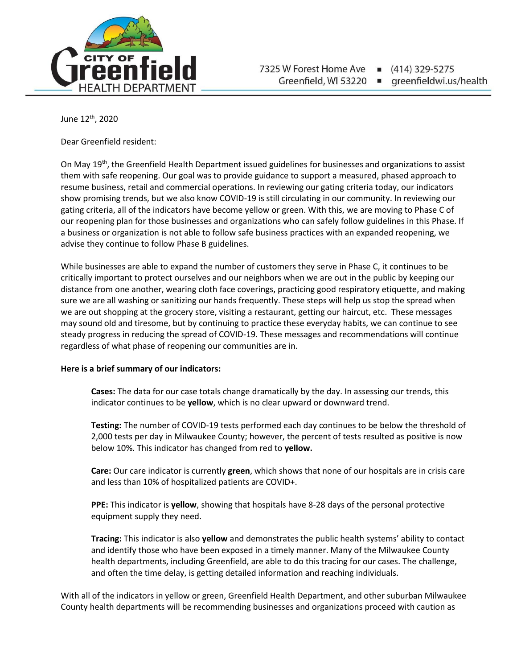

(414) 329-5275 greenfieldwi.us/health

June 12 th, 2020

Dear Greenfield resident:

On May 19th, the Greenfield Health Department issued guidelines for businesses and organizations to assist them with safe reopening. Our goal was to provide guidance to support a measured, phased approach to resume business, retail and commercial operations. In reviewing our gating criteria today, our indicators show promising trends, but we also know COVID-19 is still circulating in our community. In reviewing our gating criteria, all of the indicators have become yellow or green. With this, we are moving to Phase C of our reopening plan for those businesses and organizations who can safely follow guidelines in this Phase. If a business or organization is not able to follow safe business practices with an expanded reopening, we advise they continue to follow Phase B guidelines.

While businesses are able to expand the number of customers they serve in Phase C, it continues to be critically important to protect ourselves and our neighbors when we are out in the public by keeping our distance from one another, wearing cloth face coverings, practicing good respiratory etiquette, and making sure we are all washing or sanitizing our hands frequently. These steps will help us stop the spread when we are out shopping at the grocery store, visiting a restaurant, getting our haircut, etc. These messages may sound old and tiresome, but by continuing to practice these everyday habits, we can continue to see steady progress in reducing the spread of COVID-19. These messages and recommendations will continue regardless of what phase of reopening our communities are in.

## **Here is a brief summary of our indicators:**

**Cases:** The data for our case totals change dramatically by the day. In assessing our trends, this indicator continues to be **yellow**, which is no clear upward or downward trend.

**Testing:** The number of COVID-19 tests performed each day continues to be below the threshold of 2,000 tests per day in Milwaukee County; however, the percent of tests resulted as positive is now below 10%. This indicator has changed from red to **yellow.** 

**Care:** Our care indicator is currently **green**, which shows that none of our hospitals are in crisis care and less than 10% of hospitalized patients are COVID+.

**PPE:** This indicator is **yellow**, showing that hospitals have 8-28 days of the personal protective equipment supply they need.

**Tracing:** This indicator is also **yellow** and demonstrates the public health systems' ability to contact and identify those who have been exposed in a timely manner. Many of the Milwaukee County health departments, including Greenfield, are able to do this tracing for our cases. The challenge, and often the time delay, is getting detailed information and reaching individuals.

With all of the indicators in yellow or green, Greenfield Health Department, and other suburban Milwaukee County health departments will be recommending businesses and organizations proceed with caution as